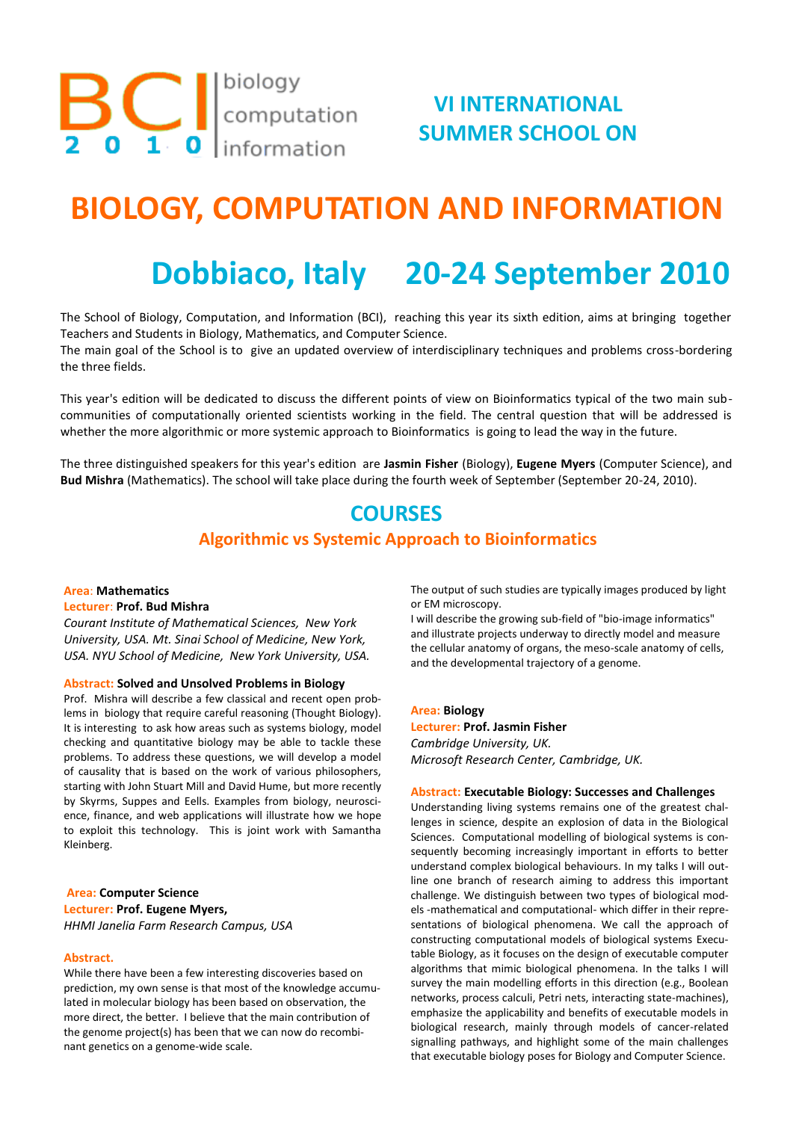**BC** I computation

# **VI INTERNATIONAL SUMMER SCHOOL ON**

# **BIOLOGY, COMPUTATION AND INFORMATION**

# **Dobbiaco, Italy 20-24 September 2010**

The School of Biology, Computation, and Information (BCI), reaching this year its sixth edition, aims at bringing together Teachers and Students in Biology, Mathematics, and Computer Science.

The main goal of the School is to give an updated overview of interdisciplinary techniques and problems cross-bordering the three fields.

This year's edition will be dedicated to discuss the different points of view on Bioinformatics typical of the two main subcommunities of computationally oriented scientists working in the field. The central question that will be addressed is whether the more algorithmic or more systemic approach to Bioinformatics is going to lead the way in the future.

The three distinguished speakers for this year's edition are **Jasmin Fisher** (Biology), **Eugene Myers** (Computer Science), and **Bud Mishra** (Mathematics). The school will take place during the fourth week of September (September 20-24, 2010).

## **COURSES**

## **Algorithmic vs Systemic Approach to Bioinformatics**

#### **Area**: **Mathematics Lecturer**: **Prof. Bud Mishra**

*Courant Institute of Mathematical Sciences, New York University, USA. Mt. Sinai School of Medicine, New York, USA. NYU School of Medicine, New York University, USA.*

#### **Abstract: Solved and Unsolved Problems in Biology**

Prof. Mishra will describe a few classical and recent open problems in biology that require careful reasoning (Thought Biology). It is interesting to ask how areas such as systems biology, model checking and quantitative biology may be able to tackle these problems. To address these questions, we will develop a model of causality that is based on the work of various philosophers, starting with John Stuart Mill and David Hume, but more recently by Skyrms, Suppes and Eells. Examples from biology, neuroscience, finance, and web applications will illustrate how we hope to exploit this technology. This is joint work with Samantha Kleinberg.

#### **Area: Computer Science Lecturer: Prof. Eugene Myers,** *HHMI Janelia Farm Research Campus, USA*

#### **Abstract.**

While there have been a few interesting discoveries based on prediction, my own sense is that most of the knowledge accumulated in molecular biology has been based on observation, the more direct, the better. I believe that the main contribution of the genome project(s) has been that we can now do recombinant genetics on a genome-wide scale.

The output of such studies are typically images produced by light or EM microscopy.

I will describe the growing sub-field of "bio-image informatics" and illustrate projects underway to directly model and measure the cellular anatomy of organs, the meso-scale anatomy of cells, and the developmental trajectory of a genome.

#### **Area: Biology**

#### **Lecturer: Prof. Jasmin Fisher**

*Cambridge University, UK. Microsoft Research Center, Cambridge, UK.*

#### **Abstract: Executable Biology: Successes and Challenges**

Understanding living systems remains one of the greatest challenges in science, despite an explosion of data in the Biological Sciences. Computational modelling of biological systems is consequently becoming increasingly important in efforts to better understand complex biological behaviours. In my talks I will outline one branch of research aiming to address this important challenge. We distinguish between two types of biological models -mathematical and computational- which differ in their representations of biological phenomena. We call the approach of constructing computational models of biological systems Executable Biology, as it focuses on the design of executable computer algorithms that mimic biological phenomena. In the talks I will survey the main modelling efforts in this direction (e.g., Boolean networks, process calculi, Petri nets, interacting state-machines), emphasize the applicability and benefits of executable models in biological research, mainly through models of cancer-related signalling pathways, and highlight some of the main challenges that executable biology poses for Biology and Computer Science.